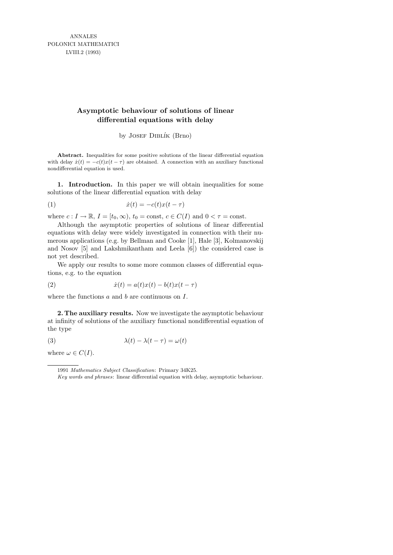ANNALES POLONICI MATHEMATICI LVIII.2 (1993)

## **Asymptotic behaviour of solutions of linear differential equations with delay**

by JOSEF DIBLÍK (Brno)

**Abstract.** Inequalities for some positive solutions of the linear differential equation with delay  $\dot{x}(t) = -c(t)x(t-\tau)$  are obtained. A connection with an auxiliary functional nondifferential equation is used.

1. Introduction. In this paper we will obtain inequalities for some solutions of the linear differential equation with delay

$$
(1) \qquad \qquad \dot{x}(t) = -c(t)x(t-\tau)
$$

where  $c: I \to \mathbb{R}, I = [t_0, \infty), t_0 = \text{const}, c \in C(I)$  and  $0 < \tau = \text{const}.$ 

Although the asymptotic properties of solutions of linear differential equations with delay were widely investigated in connection with their numerous applications (e.g. by Bellman and Cooke [1], Hale [3], Kolmanovskij and Nosov [5] and Lakshmikantham and Leela [6]) the considered case is not yet described.

We apply our results to some more common classes of differential equations, e.g. to the equation

$$
\dot{x}(t) = a(t)x(t) - b(t)x(t-\tau)
$$

where the functions  $a$  and  $b$  are continuous on  $I$ .

2. The auxiliary results. Now we investigate the asymptotic behaviour at infinity of solutions of the auxiliary functional nondifferential equation of the type

(3) 
$$
\lambda(t) - \lambda(t - \tau) = \omega(t)
$$

where  $\omega \in C(I)$ .

<sup>1991</sup> *Mathematics Subject Classification*: Primary 34K25.

*Key words and phrases*: linear differential equation with delay, asymptotic behaviour.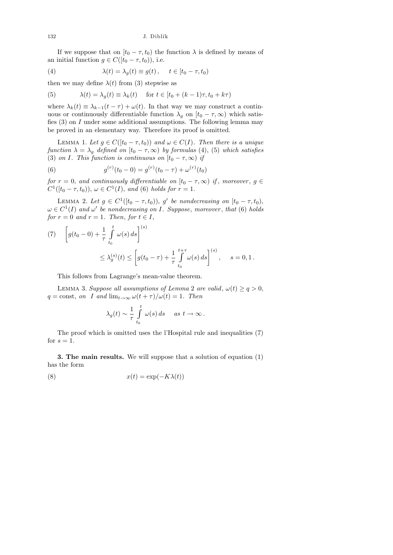132 J. Diblík

If we suppose that on  $[t_0 - \tau, t_0]$  the function  $\lambda$  is defined by means of an initial function  $g \in C([t_0 - \tau, t_0)),$  i.e.

(4) 
$$
\lambda(t) = \lambda_g(t) \equiv g(t), \quad t \in [t_0 - \tau, t_0)
$$

then we may define  $\lambda(t)$  from (3) stepwise as

(5) 
$$
\lambda(t) = \lambda_g(t) \equiv \lambda_k(t) \quad \text{for } t \in [t_0 + (k-1)\tau, t_0 + k\tau)
$$

where  $\lambda_k(t) \equiv \lambda_{k-1}(t-\tau) + \omega(t)$ . In that way we may construct a continuous or continuously differentiable function  $\lambda_g$  on  $[t_0 - \tau, \infty)$  which satisfies  $(3)$  on I under some additional assumptions. The following lemma may be proved in an elementary way. Therefore its proof is omitted.

LEMMA 1. Let  $g \in C([t_0 - \tau, t_0))$  and  $\omega \in C(I)$ . Then there is a unique function  $\lambda = \lambda_g$  defined on  $[t_0 - \tau, \infty)$  by formulas (4), (5) which satisfies (3) on I. This function is continuous on  $[t_0 - \tau, \infty)$  if

(6) 
$$
g^{(r)}(t_0 - 0) = g^{(r)}(t_0 - \tau) + \omega^{(r)}(t_0)
$$

for  $r = 0$ , and continuously differentiable on  $[t_0 - \tau, \infty)$  if, moreover,  $g \in$  $C^1([t_0 - \tau, t_0)), \, \omega \in C^1(I), \text{ and (6) holds for } r = 1.$ 

LEMMA 2. Let  $g \in C^1([t_0 - \tau, t_0)), g'$  be nondecreasing on  $[t_0 - \tau, t_0),$  $\omega \in C^1(I)$  and  $\omega'$  be nondecreasing on I. Suppose, moreover, that (6) holds for  $r = 0$  and  $r = 1$ . Then, for  $t \in I$ ,

(7) 
$$
\[ g(t_0 - 0) + \frac{1}{\tau} \int_{t_0}^t \omega(s) ds \]^{(s)} \leq \lambda_g^{(s)}(t) \leq \left[ g(t_0 - \tau) + \frac{1}{\tau} \int_{t_0}^{t+\tau} \omega(s) ds \right]^{(s)}, \quad s = 0, 1.
$$

This follows from Lagrange's mean-value theorem.

LEMMA 3. Suppose all assumptions of Lemma 2 are valid,  $\omega(t) \geq q > 0$ ,  $q = \text{const}, on \ I \ and \ \lim_{t \to \infty} \omega(t + \tau)/\omega(t) = 1.$  Then

$$
\lambda_g(t) \sim \frac{1}{\tau} \int_{t_0}^t \omega(s) ds
$$
 as  $t \to \infty$ .

The proof which is omitted uses the l'Hospital rule and inequalities (7) for  $s = 1$ .

3. The main results. We will suppose that a solution of equation (1) has the form

(8) 
$$
x(t) = \exp(-K\lambda(t))
$$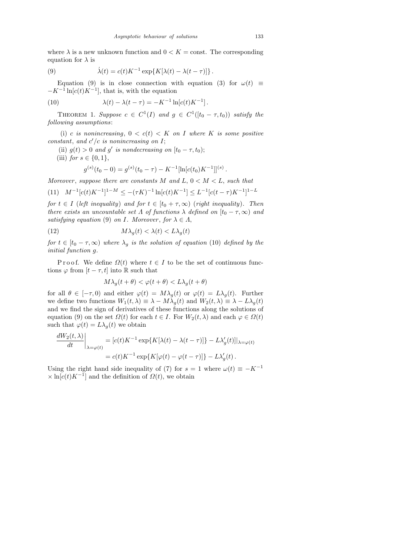where  $\lambda$  is a new unknown function and  $0 \leq K = \text{const.}$  The corresponding equation for  $\lambda$  is

(9) 
$$
\dot{\lambda}(t) = c(t)K^{-1}\exp\{K[\lambda(t) - \lambda(t-\tau)]\}.
$$

Equation (9) is in close connection with equation (3) for  $\omega(t) \equiv$  $-K^{-1}\ln[c(t)K^{-1}]$ , that is, with the equation

(10) 
$$
\lambda(t) - \lambda(t - \tau) = -K^{-1} \ln[c(t)K^{-1}].
$$

THEOREM 1. Suppose  $c \in C^1(I)$  and  $g \in C^1([t_0 - \tau, t_0))$  satisfy the following assumptions:

(i) c is nonincreasing,  $0 < c(t) < K$  on I where K is some positive constant, and  $c'/c$  is nonincreasing on I;

- (ii)  $g(t) > 0$  and g' is nondecreasing on  $[t_0 \tau, t_0);$
- (iii) for  $s \in \{0, 1\}$ ,

$$
g^{(s)}(t_0 - 0) = g^{(s)}(t_0 - \tau) - K^{-1}[\ln[c(t_0)K^{-1}]]^{(s)}
$$

Moreover, suppose there are constants M and L,  $0 < M < L$ , such that

$$
(11) \quad M^{-1}[c(t)K^{-1}]^{1-M} \le -(\tau K)^{-1}\ln[c(t)K^{-1}] \le L^{-1}[c(t-\tau)K^{-1}]^{1-L}
$$

for  $t \in I$  (left inequality) and for  $t \in [t_0 + \tau, \infty)$  (right inequality). Then there exists an uncountable set  $\Lambda$  of functions  $\lambda$  defined on  $[t_0 - \tau, \infty)$  and satisfying equation (9) on I. Moreover, for  $\lambda \in \Lambda$ ,

(12) 
$$
M\lambda_g(t) < \lambda(t) < L\lambda_g(t)
$$

for  $t \in [t_0 - \tau, \infty)$  where  $\lambda_q$  is the solution of equation (10) defined by the initial function g.

P r o o f. We define  $\Omega(t)$  where  $t \in I$  to be the set of continuous functions  $\varphi$  from  $[t - \tau, t]$  into R such that

$$
M\lambda_g(t+\theta) < \varphi(t+\theta) < L\lambda_g(t+\theta)
$$

for all  $\theta \in [-\tau, 0]$  and either  $\varphi(t) = M\lambda_q(t)$  or  $\varphi(t) = L\lambda_q(t)$ . Further we define two functions  $W_1(t, \lambda) \equiv \lambda - M\lambda_q(t)$  and  $W_2(t, \lambda) \equiv \lambda - L\lambda_q(t)$ and we find the sign of derivatives of these functions along the solutions of equation (9) on the set  $\Omega(t)$  for each  $t \in I$ . For  $W_2(t, \lambda)$  and each  $\varphi \in \Omega(t)$ such that  $\varphi(t) = L\lambda_q(t)$  we obtain

$$
\frac{dW_2(t,\lambda)}{dt}\bigg|_{\lambda=\varphi(t)} = [c(t)K^{-1}\exp\{K[\lambda(t) - \lambda(t-\tau)]\} - L\lambda'_g(t)]|_{\lambda=\varphi(t)}
$$

$$
= c(t)K^{-1}\exp\{K[\varphi(t) - \varphi(t-\tau)]\} - L\lambda'_g(t).
$$

Using the right hand side inequality of (7) for  $s = 1$  where  $\omega(t) \equiv -K^{-1}$  $\times \ln[c(t)K^{-1}]$  and the definition of  $\Omega(t)$ , we obtain

.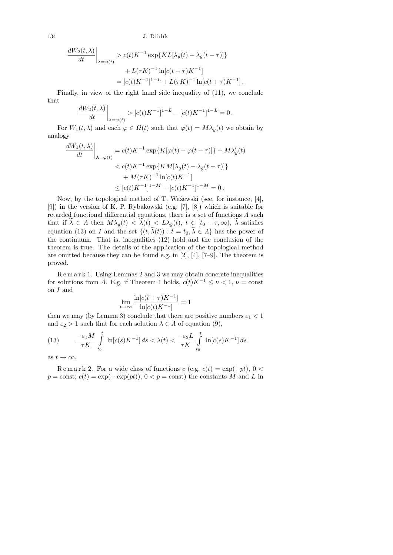134 J. Diblík

$$
\frac{dW_2(t,\lambda)}{dt}\Big|_{\lambda=\varphi(t)} > c(t)K^{-1}\exp\{KL[\lambda_g(t) - \lambda_g(t-\tau)]\}
$$

$$
+ L(\tau K)^{-1}\ln[c(t+\tau)K^{-1}]
$$

$$
= [c(t)K^{-1}]^{1-L} + L(\tau K)^{-1}\ln[c(t+\tau)K^{-1}].
$$

Finally, in view of the right hand side inequality of (11), we conclude that

$$
\frac{dW_2(t,\lambda)}{dt}\bigg|_{\lambda=\varphi(t)} > [c(t)K^{-1}]^{1-L} - [c(t)K^{-1}]^{1-L} = 0.
$$

For  $W_1(t, \lambda)$  and each  $\varphi \in \Omega(t)$  such that  $\varphi(t) = M\lambda_q(t)$  we obtain by analogy

$$
\left. \frac{dW_1(t,\lambda)}{dt} \right|_{\lambda = \varphi(t)} = c(t)K^{-1} \exp\{K[\varphi(t) - \varphi(t-\tau)]\} - M\lambda'_g(t)
$$
  

$$
< c(t)K^{-1} \exp\{KM[\lambda_g(t) - \lambda_g(t-\tau)]\}
$$
  

$$
+ M(\tau K)^{-1} \ln[c(t)K^{-1}]
$$
  

$$
\leq [c(t)K^{-1}]^{1-M} - [c(t)K^{-1}]^{1-M} = 0.
$$

Now, by the topological method of T. Ważewski (see, for instance, [4], [9]) in the version of K. P. Rybakowski (e.g. [7], [8]) which is suitable for retarded functional differential equations, there is a set of functions  $\Lambda$  such that if  $\tilde{\lambda} \in \Lambda$  then  $M\lambda_g(t) < \tilde{\lambda}(t) < L\lambda_g(t)$ ,  $t \in [t_0 - \tau, \infty)$ ,  $\lambda$  satisfies equation (13) on I and the set  $\{(t, \tilde{\lambda}(t)) : t = t_0, \tilde{\lambda} \in \Lambda\}$  has the power of the continuum. That is, inequalities (12) hold and the conclusion of the theorem is true. The details of the application of the topological method are omitted because they can be found e.g. in [2], [4], [7–9]. The theorem is proved.

R e m a r k 1. Using Lemmas 2 and 3 we may obtain concrete inequalities for solutions from A. E.g. if Theorem 1 holds,  $c(t)K^{-1} \leq \nu < 1$ ,  $\nu = \text{const}$ on I and

$$
\lim_{t \to \infty} \frac{\ln[c(t+\tau)K^{-1}]}{\ln[c(t)K^{-1}]} = 1
$$

then we may (by Lemma 3) conclude that there are positive numbers  $\varepsilon_1 < 1$ and  $\varepsilon_2 > 1$  such that for each solution  $\lambda \in \Lambda$  of equation (9),

(13) 
$$
\frac{-\varepsilon_1 M}{\tau K} \int_{t_0}^t \ln[c(s)K^{-1}] ds < \lambda(t) < \frac{-\varepsilon_2 L}{\tau K} \int_{t_0}^t \ln[c(s)K^{-1}] ds
$$

as  $t \to \infty$ .

Remark 2. For a wide class of functions c (e.g.  $c(t) = \exp(-pt)$ , 0 <  $p = \text{const}; c(t) = \exp(-\exp(pt)), 0 < p = \text{const}$  the constants M and L in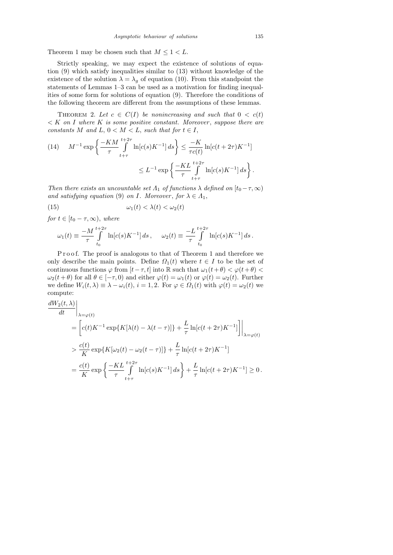Theorem 1 may be chosen such that  $M \leq 1 < L$ .

Strictly speaking, we may expect the existence of solutions of equation (9) which satisfy inequalities similar to (13) without knowledge of the existence of the solution  $\lambda = \lambda_q$  of equation (10). From this standpoint the statements of Lemmas 1–3 can be used as a motivation for finding inequalities of some form for solutions of equation (9). Therefore the conditions of the following theorem are different from the assumptions of these lemmas.

THEOREM 2. Let  $c \in C(I)$  be nonincreasing and such that  $0 < c(t)$  $K$  on I where K is some positive constant. Moreover, suppose there are constants M and L,  $0 < M < L$ , such that for  $t \in I$ ,

(14) 
$$
M^{-1} \exp \left\{ \frac{-KM}{\tau} \int_{t+\tau}^{t+2\tau} \ln[c(s)K^{-1}] ds \right\} \le \frac{-K}{\tau c(t)} \ln[c(t+2\tau)K^{-1}]
$$

$$
\le L^{-1} \exp \left\{ \frac{-KL}{\tau} \int_{t+\tau}^{t+2\tau} \ln[c(s)K^{-1}] ds \right\}.
$$

Then there exists an uncountable set  $\Lambda_1$  of functions  $\lambda$  defined on  $[t_0-\tau,\infty)$ and satisfying equation (9) on I. Moreover, for  $\lambda \in \Lambda_1$ ,

(15) 
$$
\omega_1(t) < \lambda(t) < \omega_2(t)
$$

for  $t \in [t_0 - \tau, \infty)$ , where

$$
\omega_1(t) \equiv \frac{-M}{\tau} \int_{t_0}^{t+2\tau} \ln[c(s)K^{-1}] ds, \quad \omega_2(t) \equiv \frac{-L}{\tau} \int_{t_0}^{t+2\tau} \ln[c(s)K^{-1}] ds.
$$

Proof. The proof is analogous to that of Theorem 1 and therefore we only describe the main points. Define  $\Omega_1(t)$  where  $t \in I$  to be the set of continuous functions  $\varphi$  from  $[t-\tau, t]$  into R such that  $\omega_1(t+\theta) < \varphi(t+\theta) <$  $\omega_2(t+\theta)$  for all  $\theta \in [-\tau,0)$  and either  $\varphi(t) = \omega_1(t)$  or  $\varphi(t) = \omega_2(t)$ . Further we define  $W_i(t, \lambda) \equiv \lambda - \omega_i(t)$ ,  $i = 1, 2$ . For  $\varphi \in \Omega_1(t)$  with  $\varphi(t) = \omega_2(t)$  we compute:

$$
\frac{dW_2(t,\lambda)}{dt}\Big|_{\lambda=\varphi(t)}
$$
\n
$$
= \left[ c(t)K^{-1} \exp\{K[\lambda(t) - \lambda(t-\tau)]\} + \frac{L}{\tau} \ln[c(t+2\tau)K^{-1}]\right]\Big|_{\lambda=\varphi(t)}
$$
\n
$$
> \frac{c(t)}{K} \exp\{K[\omega_2(t) - \omega_2(t-\tau)]\} + \frac{L}{\tau} \ln[c(t+2\tau)K^{-1}]
$$
\n
$$
= \frac{c(t)}{K} \exp\left\{\frac{-KL}{\tau} \int_{t+\tau}^{t+2\tau} \ln[c(s)K^{-1}] ds\right\} + \frac{L}{\tau} \ln[c(t+2\tau)K^{-1}] \ge 0.
$$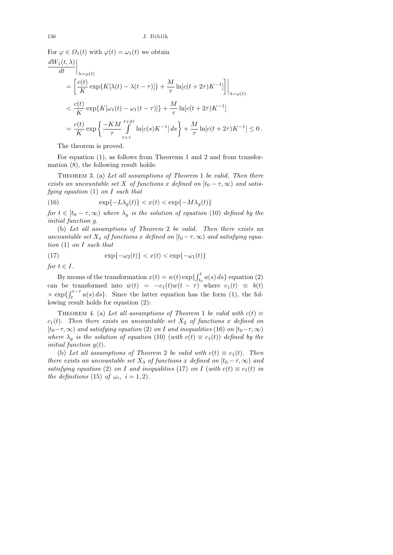For  $\varphi \in \Omega_1(t)$  with  $\varphi(t) = \omega_1(t)$  we obtain

$$
\frac{dW_1(t,\lambda)}{dt}\Big|_{\lambda=\varphi(t)}
$$
\n
$$
= \left[\frac{c(t)}{K}\exp\{K[\lambda(t)-\lambda(t-\tau)]\} + \frac{M}{\tau}\ln[c(t+2\tau)K^{-1}]\right]\Big|_{\lambda=\varphi(t)}
$$
\n
$$
< \frac{c(t)}{K}\exp\{K[\omega_1(t)-\omega_1(t-\tau)]\} + \frac{M}{\tau}\ln[c(t+2\tau)K^{-1}]
$$
\n
$$
= \frac{c(t)}{K}\exp\left\{\frac{-KM}{\tau}\int_{t+\tau}^{t+2\tau}\ln[c(s)K^{-1}]ds\right\} + \frac{M}{\tau}\ln[c(t+2\tau)K^{-1}] \le 0.
$$

The theorem is proved.

For equation (1), as follows from Theorems 1 and 2 and from transformation (8), the following result holds:

THEOREM 3. (a) Let all assumptions of Theorem 1 be valid. Then there exists an uncountable set X of functions x defined on  $[t_0 - \tau, \infty)$  and satisfying equation  $(1)$  on I such that

(16) 
$$
\exp\{-L\lambda_g(t)\} < x(t) < \exp\{-M\lambda_g(t)\}
$$

for  $t \in [t_0 - \tau, \infty)$  where  $\lambda_g$  is the solution of equation (10) defined by the initial function g.

(b) Let all assumptions of Theorem 2 be valid. Then there exists an uncountable set  $X_1$  of functions x defined on  $[t_0 - \tau, \infty)$  and satisfying equation (1) on I such that

(17) 
$$
\exp\{-\omega_2(t)\} < x(t) < \exp\{-\omega_1(t)\}
$$

for  $t \in I$ .

By means of the transformation  $x(t) = w(t) \exp\{\int_{t_0}^t a(s) ds\}$  equation (2) can be transformed into  $\dot{w}(t) = -c_1(t)w(t - \tau)$  where  $c_1(t) \equiv b(t)$  $\times \exp\{\int_t^{t-\tau} a(s) ds\}.$  Since the latter equation has the form (1), the following result holds for equation (2):

THEOREM 4. (a) Let all assumptions of Theorem 1 be valid with  $c(t) \equiv$  $c_1(t)$ . Then there exists an uncountable set  $X_2$  of functions x defined on  $[t_0-\tau,\infty)$  and satisfying equation (2) on I and inequalities (16) on  $[t_0-\tau,\infty)$ where  $\lambda_g$  is the solution of equation (10) (with  $c(t) \equiv c_1(t)$ ) defined by the *initial function*  $g(t)$ *.* 

(b) Let all assumptions of Theorem 2 be valid with  $c(t) \equiv c_1(t)$ . Then there exists an uncountable set  $X_3$  of functions x defined on  $[t_0 - \tau, \infty)$  and satisfying equation (2) on I and inequalities (17) on I (with  $c(t) \equiv c_1(t)$  in the definitions (15) of  $\omega_i$ ,  $i = 1, 2$ .